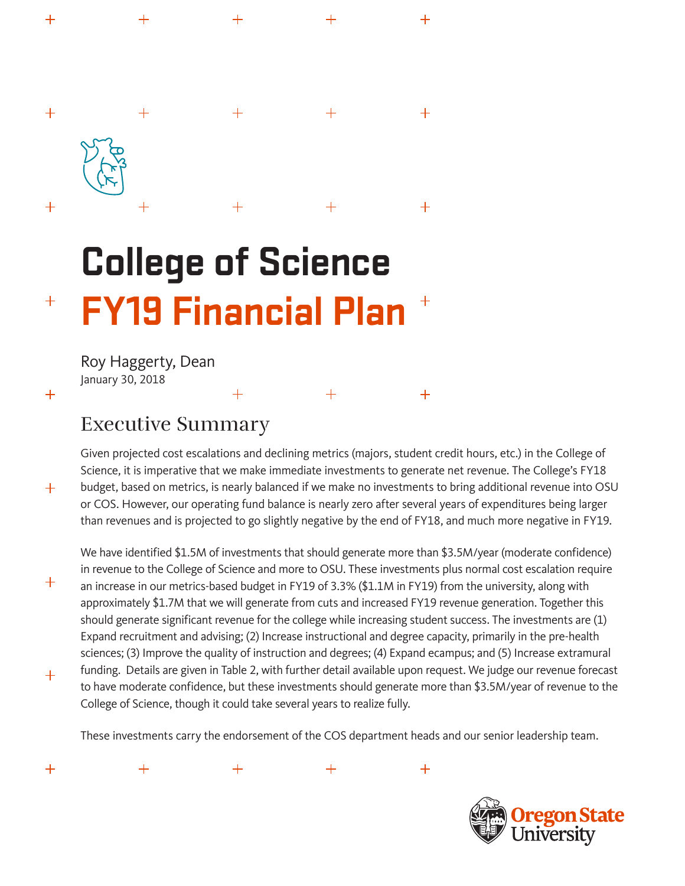# $+$  $+$  $\hspace{0.1mm} +$  $\boldsymbol{+}$  $\mathrm{+}$ **College of Science**

 $\mathrm{+}$ 

# **FY19 Financial Plan**  $+$  $\hspace{0.1mm} +$

 $+$ 

Roy Haggerty, Dean January 30, 2018

 $+$ 

 $\pm$ 

 $+$ 

 $+$ 

 $+$ 

 $+$ 

 $+$ 

# Executive Summary

Given projected cost escalations and declining metrics (majors, student credit hours, etc.) in the College of Science, it is imperative that we make immediate investments to generate net revenue. The College's FY18 budget, based on metrics, is nearly balanced if we make no investments to bring additional revenue into OSU or COS. However, our operating fund balance is nearly zero after several years of expenditures being larger than revenues and is projected to go slightly negative by the end of FY18, and much more negative in FY19.

 $+$ 

 $+$ 

 $+$ 

 $+$ 

 $+$ 

We have identified \$1.5M of investments that should generate more than \$3.5M/year (moderate confidence) in revenue to the College of Science and more to OSU. These investments plus normal cost escalation require an increase in our metrics-based budget in FY19 of 3.3% (\$1.1M in FY19) from the university, along with approximately \$1.7M that we will generate from cuts and increased FY19 revenue generation. Together this should generate significant revenue for the college while increasing student success. The investments are (1) Expand recruitment and advising; (2) Increase instructional and degree capacity, primarily in the pre-health sciences; (3) Improve the quality of instruction and degrees; (4) Expand ecampus; and (5) Increase extramural funding. Details are given in Table 2, with further detail available upon request. We judge our revenue forecast to have moderate confidence, but these investments should generate more than \$3.5M/year of revenue to the College of Science, though it could take several years to realize fully.

These investments carry the endorsement of the COS department heads and our senior leadership team.



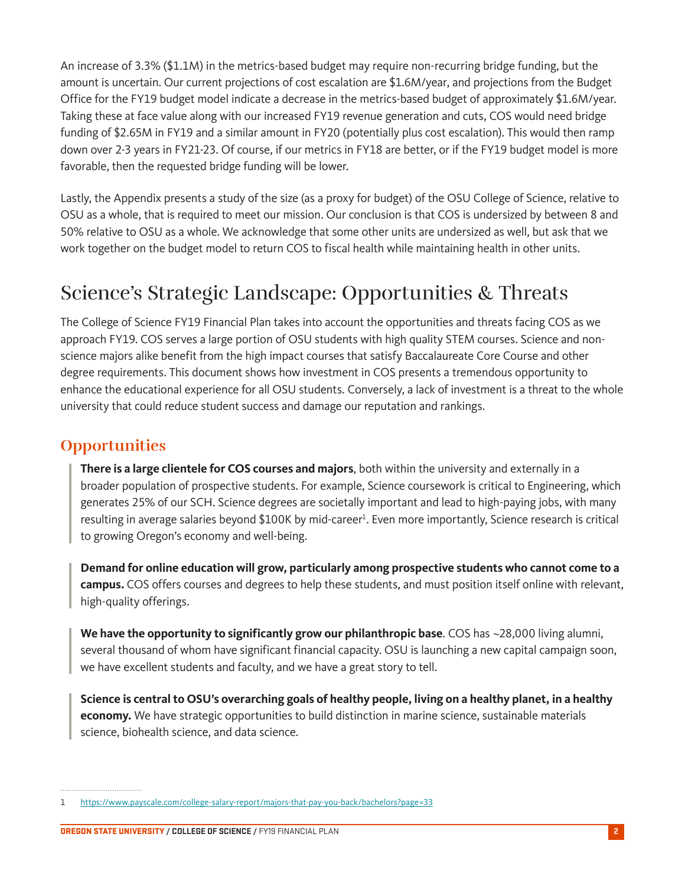An increase of 3.3% (\$1.1M) in the metrics-based budget may require non-recurring bridge funding, but the amount is uncertain. Our current projections of cost escalation are \$1.6M/year, and projections from the Budget Office for the FY19 budget model indicate a decrease in the metrics-based budget of approximately \$1.6M/year. Taking these at face value along with our increased FY19 revenue generation and cuts, COS would need bridge funding of \$2.65M in FY19 and a similar amount in FY20 (potentially plus cost escalation). This would then ramp down over 2-3 years in FY21-23. Of course, if our metrics in FY18 are better, or if the FY19 budget model is more favorable, then the requested bridge funding will be lower.

Lastly, the Appendix presents a study of the size (as a proxy for budget) of the OSU College of Science, relative to OSU as a whole, that is required to meet our mission. Our conclusion is that COS is undersized by between 8 and 50% relative to OSU as a whole. We acknowledge that some other units are undersized as well, but ask that we work together on the budget model to return COS to fiscal health while maintaining health in other units.

# Science's Strategic Landscape: Opportunities & Threats

The College of Science FY19 Financial Plan takes into account the opportunities and threats facing COS as we approach FY19. COS serves a large portion of OSU students with high quality STEM courses. Science and nonscience majors alike benefit from the high impact courses that satisfy Baccalaureate Core Course and other degree requirements. This document shows how investment in COS presents a tremendous opportunity to enhance the educational experience for all OSU students. Conversely, a lack of investment is a threat to the whole university that could reduce student success and damage our reputation and rankings.

## **Opportunities**

**There is a large clientele for COS courses and majors**, both within the university and externally in a broader population of prospective students. For example, Science coursework is critical to Engineering, which generates 25% of our SCH. Science degrees are societally important and lead to high-paying jobs, with many resulting in average salaries beyond \$100K by mid-career<sup>1</sup>. Even more importantly, Science research is critical to growing Oregon's economy and well-being.

**Demand for online education will grow, particularly among prospective students who cannot come to a campus.** COS offers courses and degrees to help these students, and must position itself online with relevant, high-quality offerings.

**We have the opportunity to significantly grow our philanthropic base**. COS has ~28,000 living alumni, several thousand of whom have significant financial capacity. OSU is launching a new capital campaign soon, we have excellent students and faculty, and we have a great story to tell.

**Science is central to OSU's overarching goals of healthy people, living on a healthy planet, in a healthy economy.** We have strategic opportunities to build distinction in marine science, sustainable materials science, biohealth science, and data science.

<sup>1</sup> https://www.payscale.com/college-salary-report/majors-that-pay-you-back/bachelors?page=33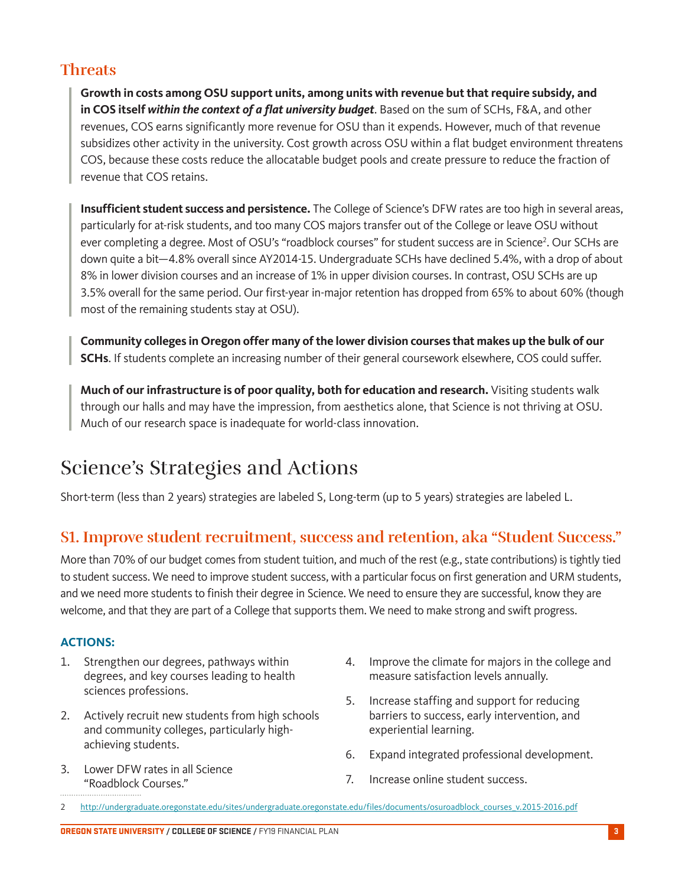## **Threats**

**Growth in costs among OSU support units, among units with revenue but that require subsidy, and in COS itself** *within the context of a flat university budget*. Based on the sum of SCHs, F&A, and other revenues, COS earns significantly more revenue for OSU than it expends. However, much of that revenue subsidizes other activity in the university. Cost growth across OSU within a flat budget environment threatens COS, because these costs reduce the allocatable budget pools and create pressure to reduce the fraction of revenue that COS retains.

**Insufficient student success and persistence.** The College of Science's DFW rates are too high in several areas, particularly for at-risk students, and too many COS majors transfer out of the College or leave OSU without ever completing a degree. Most of OSU's "roadblock courses" for student success are in Science<sup>2</sup>. Our SCHs are down quite a bit—4.8% overall since AY2014-15. Undergraduate SCHs have declined 5.4%, with a drop of about 8% in lower division courses and an increase of 1% in upper division courses. In contrast, OSU SCHs are up 3.5% overall for the same period. Our first-year in-major retention has dropped from 65% to about 60% (though most of the remaining students stay at OSU).

**Community colleges in Oregon offer many of the lower division courses that makes up the bulk of our SCHs**. If students complete an increasing number of their general coursework elsewhere, COS could suffer.

**Much of our infrastructure is of poor quality, both for education and research.** Visiting students walk through our halls and may have the impression, from aesthetics alone, that Science is not thriving at OSU. Much of our research space is inadequate for world-class innovation.

# Science's Strategies and Actions

Short-term (less than 2 years) strategies are labeled S, Long-term (up to 5 years) strategies are labeled L.

## **S1. Improve student recruitment, success and retention, aka "Student Success."**

More than 70% of our budget comes from student tuition, and much of the rest (e.g., state contributions) is tightly tied to student success. We need to improve student success, with a particular focus on first generation and URM students, and we need more students to finish their degree in Science. We need to ensure they are successful, know they are welcome, and that they are part of a College that supports them. We need to make strong and swift progress.

#### **ACTIONS:**

- 1. Strengthen our degrees, pathways within degrees, and key courses leading to health sciences professions.
- 2. Actively recruit new students from high schools and community colleges, particularly highachieving students.
- 3. Lower DFW rates in all Science "Roadblock Courses."
- 4. Improve the climate for majors in the college and measure satisfaction levels annually.
- 5. Increase staffing and support for reducing barriers to success, early intervention, and experiential learning.
- 6. Expand integrated professional development.
- 7. Increase online student success.

<sup>2</sup> http://undergraduate.oregonstate.edu/sites/undergraduate.oregonstate.edu/files/documents/osuroadblock\_courses\_v.2015-2016.pdf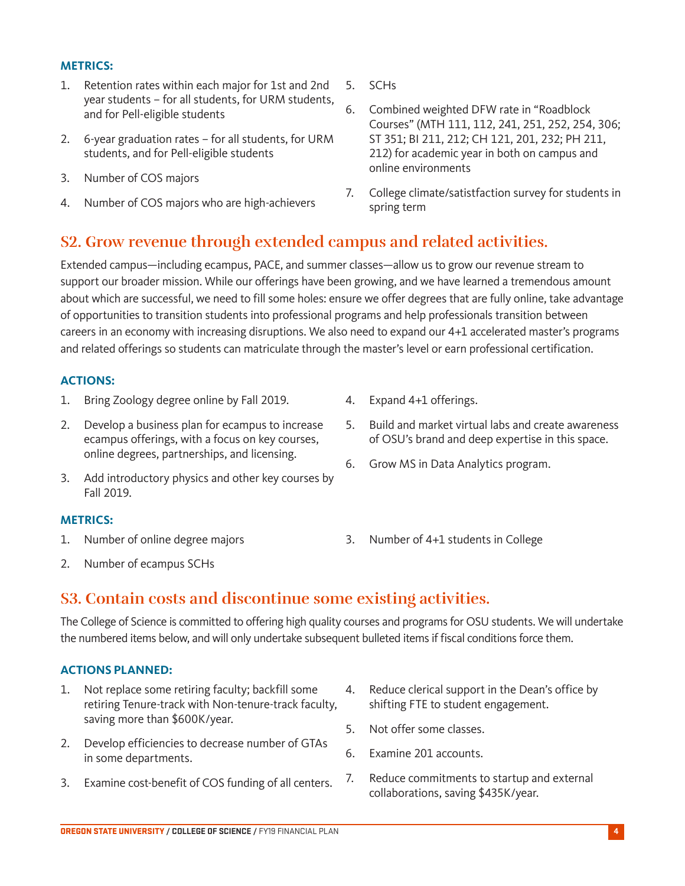#### **METRICS:**

- 1. Retention rates within each major for 1st and 2nd year students – for all students, for URM students, and for Pell-eligible students
- 2. 6-year graduation rates for all students, for URM students, and for Pell-eligible students
- 3. Number of COS majors
- 4. Number of COS majors who are high-achievers
- 5. SCHs
- 6. Combined weighted DFW rate in "Roadblock Courses" (MTH 111, 112, 241, 251, 252, 254, 306; ST 351; BI 211, 212; CH 121, 201, 232; PH 211, 212) for academic year in both on campus and online environments
- 7. College climate/satistfaction survey for students in spring term

# **S2. Grow revenue through extended campus and related activities.**

Extended campus—including ecampus, PACE, and summer classes—allow us to grow our revenue stream to support our broader mission. While our offerings have been growing, and we have learned a tremendous amount about which are successful, we need to fill some holes: ensure we offer degrees that are fully online, take advantage of opportunities to transition students into professional programs and help professionals transition between careers in an economy with increasing disruptions. We also need to expand our 4+1 accelerated master's programs and related offerings so students can matriculate through the master's level or earn professional certification.

#### **ACTIONS:**

- 1. Bring Zoology degree online by Fall 2019.
- 2. Develop a business plan for ecampus to increase ecampus offerings, with a focus on key courses, online degrees, partnerships, and licensing.
- 3. Add introductory physics and other key courses by Fall 2019.

#### **METRICS:**

1. Number of online degree majors

- 4. Expand 4+1 offerings.
- 5. Build and market virtual labs and create awareness of OSU's brand and deep expertise in this space.
- 6. Grow MS in Data Analytics program.
- 3. Number of 4+1 students in College

2. Number of ecampus SCHs

# **S3. Contain costs and discontinue some existing activities.**

The College of Science is committed to offering high quality courses and programs for OSU students. We will undertake the numbered items below, and will only undertake subsequent bulleted items if fiscal conditions force them.

### **ACTIONS PLANNED:**

- 1. Not replace some retiring faculty; backfill some retiring Tenure-track with Non-tenure-track faculty, saving more than \$600K/year.
- 2. Develop efficiencies to decrease number of GTAs in some departments.
- 3. Examine cost-benefit of COS funding of all centers.
- 4. Reduce clerical support in the Dean's office by shifting FTE to student engagement.
- 5. Not offer some classes.
- 6. Examine 201 accounts.
- 7. Reduce commitments to startup and external collaborations, saving \$435K/year.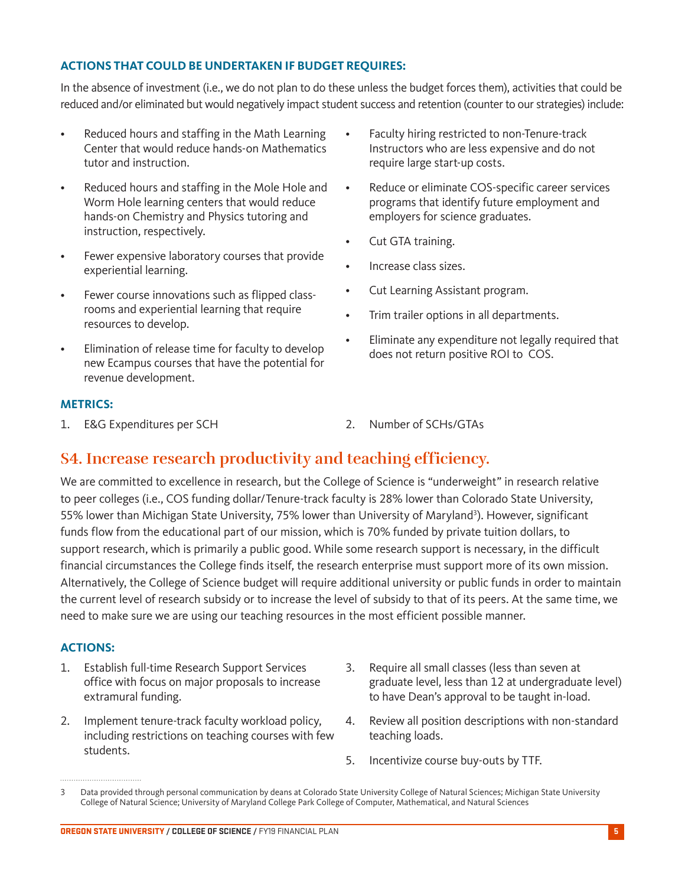#### **ACTIONS THAT COULD BE UNDERTAKEN IF BUDGET REQUIRES:**

In the absence of investment (i.e., we do not plan to do these unless the budget forces them), activities that could be reduced and/or eliminated but would negatively impact student success and retention (counter to our strategies) include:

- Reduced hours and staffing in the Math Learning Center that would reduce hands-on Mathematics tutor and instruction.
- Reduced hours and staffing in the Mole Hole and Worm Hole learning centers that would reduce hands-on Chemistry and Physics tutoring and instruction, respectively.
- Fewer expensive laboratory courses that provide experiential learning.
- Fewer course innovations such as flipped classrooms and experiential learning that require resources to develop.
- Elimination of release time for faculty to develop new Ecampus courses that have the potential for revenue development.

#### **METRICS:**

1. E&G Expenditures per SCH 2. Number of SCHs/GTAs

- Faculty hiring restricted to non-Tenure-track Instructors who are less expensive and do not require large start-up costs.
- Reduce or eliminate COS-specific career services programs that identify future employment and employers for science graduates.
- Cut GTA training.
- Increase class sizes.
- Cut Learning Assistant program.
- Trim trailer options in all departments.
- Eliminate any expenditure not legally required that does not return positive ROI to COS.
- 

### **S4. Increase research productivity and teaching efficiency.**

We are committed to excellence in research, but the College of Science is "underweight" in research relative to peer colleges (i.e., COS funding dollar/Tenure-track faculty is 28% lower than Colorado State University, 55% lower than Michigan State University, 75% lower than University of Maryland<sup>3</sup>). However, significant funds flow from the educational part of our mission, which is 70% funded by private tuition dollars, to support research, which is primarily a public good. While some research support is necessary, in the difficult financial circumstances the College finds itself, the research enterprise must support more of its own mission. Alternatively, the College of Science budget will require additional university or public funds in order to maintain the current level of research subsidy or to increase the level of subsidy to that of its peers. At the same time, we need to make sure we are using our teaching resources in the most efficient possible manner.

#### **ACTIONS:**

- 1. Establish full-time Research Support Services office with focus on major proposals to increase extramural funding.
- 2. Implement tenure-track faculty workload policy, including restrictions on teaching courses with few students.
- 3. Require all small classes (less than seven at graduate level, less than 12 at undergraduate level) to have Dean's approval to be taught in-load.
- 4. Review all position descriptions with non-standard teaching loads.
- 5. Incentivize course buy-outs by TTF.

<sup>3</sup> Data provided through personal communication by deans at Colorado State University College of Natural Sciences; Michigan State University College of Natural Science; University of Maryland College Park College of Computer, Mathematical, and Natural Sciences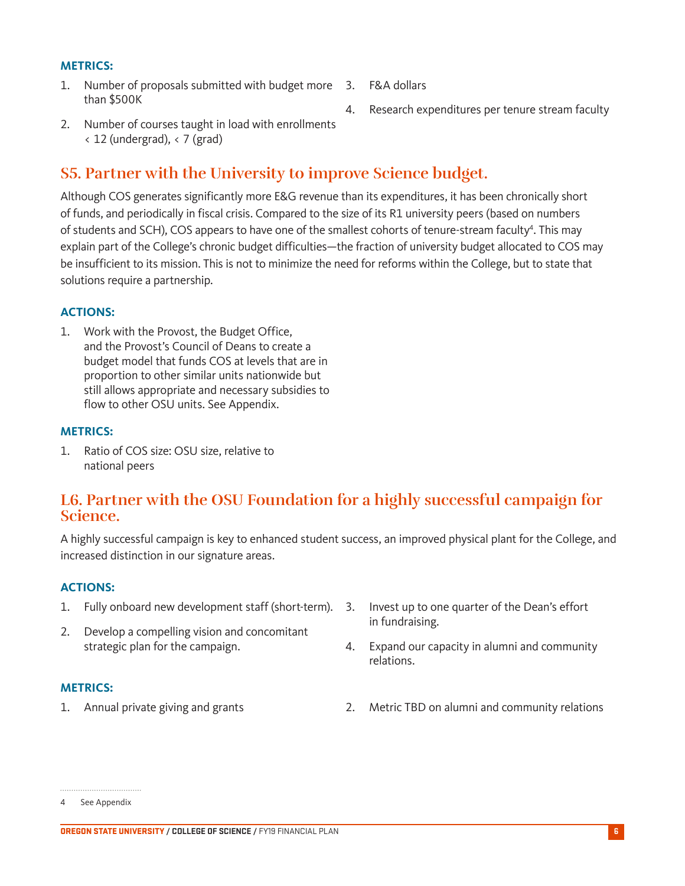#### **METRICS:**

- 1. Number of proposals submitted with budget more than \$500K
	- 3. F&A dollars
	- 4. Research expenditures per tenure stream faculty
- 2. Number of courses taught in load with enrollments  $\langle 12 \text{ (undergrad)}, \langle 7 \text{ (grad)} \rangle$

### **S5. Partner with the University to improve Science budget.**

Although COS generates significantly more E&G revenue than its expenditures, it has been chronically short of funds, and periodically in fiscal crisis. Compared to the size of its R1 university peers (based on numbers of students and SCH), COS appears to have one of the smallest cohorts of tenure-stream faculty<sup>4</sup>. This may explain part of the College's chronic budget difficulties—the fraction of university budget allocated to COS may be insufficient to its mission. This is not to minimize the need for reforms within the College, but to state that solutions require a partnership.

#### **ACTIONS:**

1. Work with the Provost, the Budget Office, and the Provost's Council of Deans to create a budget model that funds COS at levels that are in proportion to other similar units nationwide but still allows appropriate and necessary subsidies to flow to other OSU units. See Appendix.

#### **METRICS:**

1. Ratio of COS size: OSU size, relative to national peers

### **L6. Partner with the OSU Foundation for a highly successful campaign for Science.**

A highly successful campaign is key to enhanced student success, an improved physical plant for the College, and increased distinction in our signature areas.

#### **ACTIONS:**

- 1. Fully onboard new development staff (short-term).
- 2. Develop a compelling vision and concomitant strategic plan for the campaign.

#### **METRICS:**

- 3. Invest up to one quarter of the Dean's effort in fundraising.
- 4. Expand our capacity in alumni and community relations.
- 1. Annual private giving and grants 2. Metric TBD on alumni and community relations

<sup>4</sup> See Appendix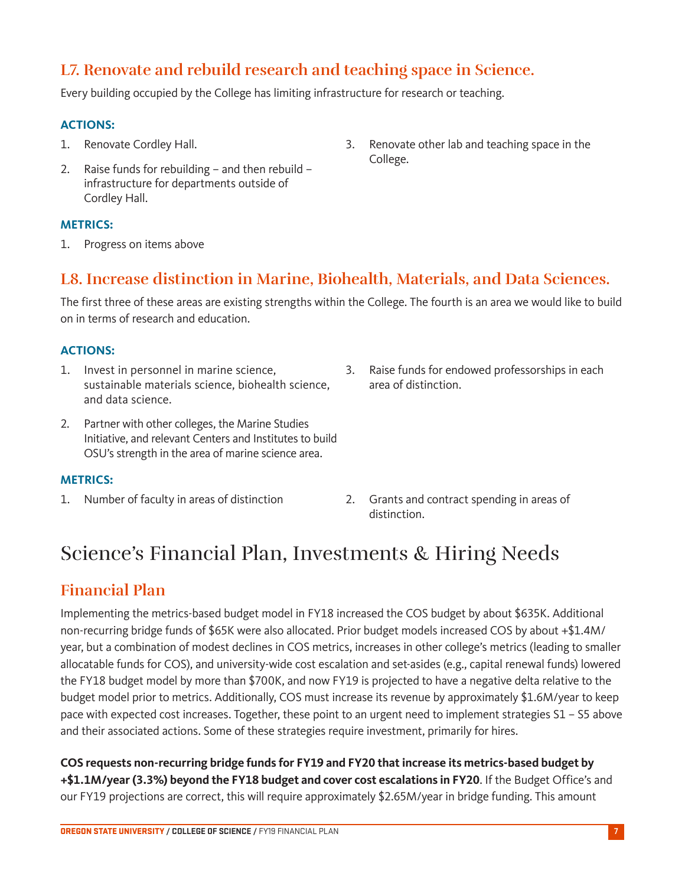## **L7. Renovate and rebuild research and teaching space in Science.**

Every building occupied by the College has limiting infrastructure for research or teaching.

#### **ACTIONS:**

- 1. Renovate Cordley Hall.
- 2. Raise funds for rebuilding and then rebuild infrastructure for departments outside of Cordley Hall.

#### **METRICS:**

1. Progress on items above

### **L8. Increase distinction in Marine, Biohealth, Materials, and Data Sciences.**

College.

The first three of these areas are existing strengths within the College. The fourth is an area we would like to build on in terms of research and education.

#### **ACTIONS:**

- 1. Invest in personnel in marine science, sustainable materials science, biohealth science, and data science.
- 2. Partner with other colleges, the Marine Studies Initiative, and relevant Centers and Institutes to build OSU's strength in the area of marine science area.
- 3. Raise funds for endowed professorships in each area of distinction.

3. Renovate other lab and teaching space in the

#### **METRICS:**

- 
- 1. Number of faculty in areas of distinction 2. Grants and contract spending in areas of distinction.

# Science's Financial Plan, Investments & Hiring Needs

### **Financial Plan**

Implementing the metrics-based budget model in FY18 increased the COS budget by about \$635K. Additional non-recurring bridge funds of \$65K were also allocated. Prior budget models increased COS by about +\$1.4M/ year, but a combination of modest declines in COS metrics, increases in other college's metrics (leading to smaller allocatable funds for COS), and university-wide cost escalation and set-asides (e.g., capital renewal funds) lowered the FY18 budget model by more than \$700K, and now FY19 is projected to have a negative delta relative to the budget model prior to metrics. Additionally, COS must increase its revenue by approximately \$1.6M/year to keep pace with expected cost increases. Together, these point to an urgent need to implement strategies S1 – S5 above and their associated actions. Some of these strategies require investment, primarily for hires.

**COS requests non-recurring bridge funds for FY19 and FY20 that increase its metrics-based budget by +\$1.1M/year (3.3%) beyond the FY18 budget and cover cost escalations in FY20**. If the Budget Office's and our FY19 projections are correct, this will require approximately \$2.65M/year in bridge funding. This amount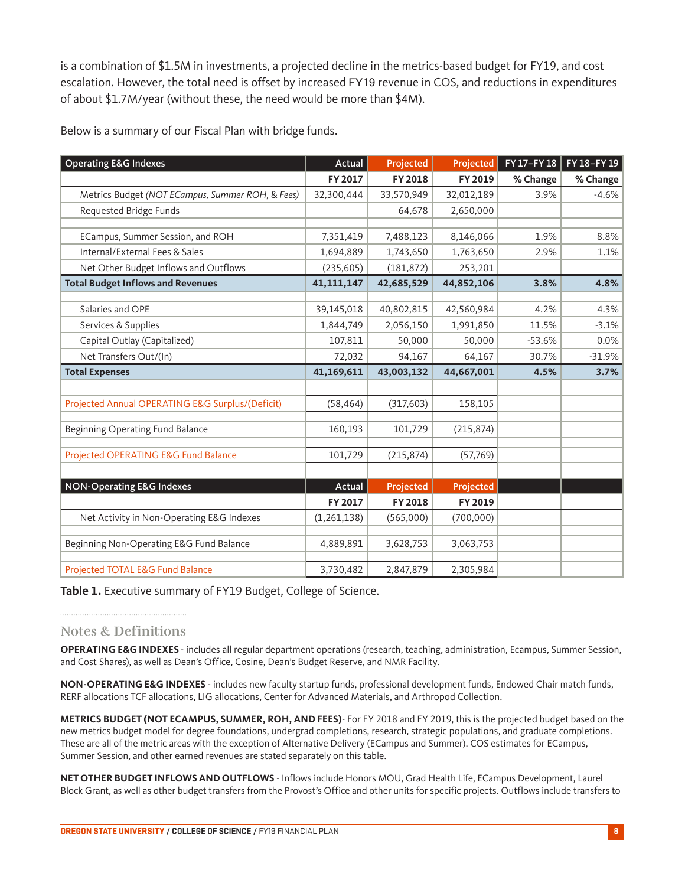is a combination of \$1.5M in investments, a projected decline in the metrics-based budget for FY19, and cost escalation. However, the total need is offset by increased FY19 revenue in COS, and reductions in expenditures of about \$1.7M/year (without these, the need would be more than \$4M).

Below is a summary of our Fiscal Plan with bridge funds.

| <b>Operating E&amp;G Indexes</b>                 | Actual        | Projected  | Projected  | FY 17-FY 18 | FY 18-FY 19 |
|--------------------------------------------------|---------------|------------|------------|-------------|-------------|
|                                                  | FY 2017       | FY 2018    | FY 2019    | % Change    | % Change    |
| Metrics Budget (NOT ECampus, Summer ROH, & Fees) | 32,300,444    | 33,570,949 | 32,012,189 | 3.9%        | $-4.6%$     |
| Requested Bridge Funds                           |               | 64,678     | 2,650,000  |             |             |
|                                                  |               |            |            |             |             |
| ECampus, Summer Session, and ROH                 | 7,351,419     | 7,488,123  | 8,146,066  | 1.9%        | 8.8%        |
| Internal/External Fees & Sales                   | 1,694,889     | 1,743,650  | 1,763,650  | 2.9%        | 1.1%        |
| Net Other Budget Inflows and Outflows            | (235, 605)    | (181, 872) | 253,201    |             |             |
| <b>Total Budget Inflows and Revenues</b>         | 41, 111, 147  | 42,685,529 | 44,852,106 | 3.8%        | 4.8%        |
| Salaries and OPE                                 | 39,145,018    | 40,802,815 | 42,560,984 | 4.2%        | 4.3%        |
| Services & Supplies                              | 1,844,749     | 2,056,150  | 1,991,850  | 11.5%       | $-3.1%$     |
| Capital Outlay (Capitalized)                     | 107,811       | 50,000     | 50,000     | $-53.6%$    | 0.0%        |
| Net Transfers Out/(In)                           | 72,032        | 94,167     | 64,167     | 30.7%       | $-31.9%$    |
| <b>Total Expenses</b>                            | 41,169,611    | 43,003,132 | 44,667,001 | 4.5%        | 3.7%        |
|                                                  |               |            |            |             |             |
| Projected Annual OPERATING E&G Surplus/(Deficit) | (58, 464)     | (317, 603) | 158,105    |             |             |
| Beginning Operating Fund Balance                 | 160,193       | 101,729    | (215, 874) |             |             |
| Projected OPERATING E&G Fund Balance             | 101,729       | (215, 874) | (57, 769)  |             |             |
|                                                  |               |            |            |             |             |
| <b>NON-Operating E&amp;G Indexes</b>             | Actual        | Projected  | Projected  |             |             |
|                                                  | FY 2017       | FY 2018    | FY 2019    |             |             |
| Net Activity in Non-Operating E&G Indexes        | (1, 261, 138) | (565,000)  | (700,000)  |             |             |
| Beginning Non-Operating E&G Fund Balance         | 4,889,891     | 3,628,753  | 3,063,753  |             |             |
| Projected TOTAL E&G Fund Balance                 | 3,730,482     | 2,847,879  | 2,305,984  |             |             |

**Table 1.** Executive summary of FY19 Budget, College of Science.

**Notes & Definitions**

**OPERATING E&G INDEXES** - includes all regular department operations (research, teaching, administration, Ecampus, Summer Session, and Cost Shares), as well as Dean's Office, Cosine, Dean's Budget Reserve, and NMR Facility.

**NON-OPERATING E&G INDEXES** - includes new faculty startup funds, professional development funds, Endowed Chair match funds, RERF allocations TCF allocations, LIG allocations, Center for Advanced Materials, and Arthropod Collection.

**METRICS BUDGET (NOT ECAMPUS, SUMMER, ROH, AND FEES)**- For FY 2018 and FY 2019, this is the projected budget based on the new metrics budget model for degree foundations, undergrad completions, research, strategic populations, and graduate completions. These are all of the metric areas with the exception of Alternative Delivery (ECampus and Summer). COS estimates for ECampus, Summer Session, and other earned revenues are stated separately on this table.

**NET OTHER BUDGET INFLOWS AND OUTFLOWS** - Inflows include Honors MOU, Grad Health Life, ECampus Development, Laurel Block Grant, as well as other budget transfers from the Provost's Office and other units for specific projects. Outflows include transfers to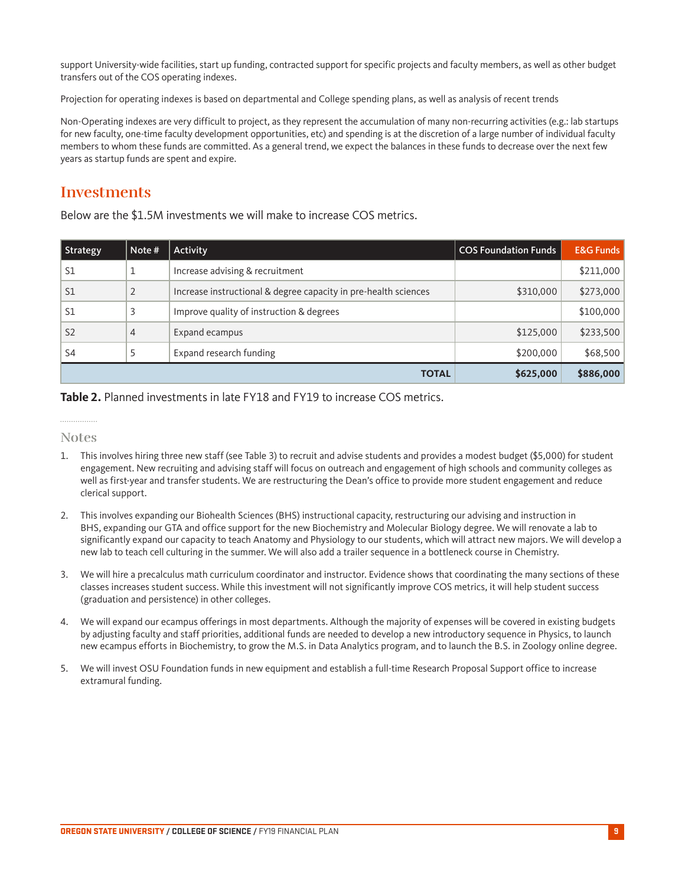support University-wide facilities, start up funding, contracted support for specific projects and faculty members, as well as other budget transfers out of the COS operating indexes.

Projection for operating indexes is based on departmental and College spending plans, as well as analysis of recent trends

Non-Operating indexes are very difficult to project, as they represent the accumulation of many non-recurring activities (e.g.: lab startups for new faculty, one-time faculty development opportunities, etc) and spending is at the discretion of a large number of individual faculty members to whom these funds are committed. As a general trend, we expect the balances in these funds to decrease over the next few years as startup funds are spent and expire.

### **Investments**

Below are the \$1.5M investments we will make to increase COS metrics.

| Strategy       | Note #         | Activity                                                        | <b>COS Foundation Funds</b> | <b>E&amp;G Funds</b> |
|----------------|----------------|-----------------------------------------------------------------|-----------------------------|----------------------|
| S1             |                | Increase advising & recruitment                                 |                             | \$211,000            |
| S <sub>1</sub> |                | Increase instructional & degree capacity in pre-health sciences | \$310,000                   | \$273,000            |
| S <sub>1</sub> |                | Improve quality of instruction & degrees                        |                             | \$100,000            |
| S <sub>2</sub> | $\overline{4}$ | Expand ecampus                                                  | \$125,000                   | \$233,500            |
| S <sub>4</sub> |                | Expand research funding                                         | \$200,000                   | \$68,500             |
|                |                | <b>TOTAL</b>                                                    | \$625,000                   | \$886,000            |

**Table 2.** Planned investments in late FY18 and FY19 to increase COS metrics.

#### . . . . . . . . . . . . . . . . **Notes**

- 1. This involves hiring three new staff (see Table 3) to recruit and advise students and provides a modest budget (\$5,000) for student engagement. New recruiting and advising staff will focus on outreach and engagement of high schools and community colleges as well as first-year and transfer students. We are restructuring the Dean's office to provide more student engagement and reduce clerical support.
- 2. This involves expanding our Biohealth Sciences (BHS) instructional capacity, restructuring our advising and instruction in BHS, expanding our GTA and office support for the new Biochemistry and Molecular Biology degree. We will renovate a lab to significantly expand our capacity to teach Anatomy and Physiology to our students, which will attract new majors. We will develop a new lab to teach cell culturing in the summer. We will also add a trailer sequence in a bottleneck course in Chemistry.
- 3. We will hire a precalculus math curriculum coordinator and instructor. Evidence shows that coordinating the many sections of these classes increases student success. While this investment will not significantly improve COS metrics, it will help student success (graduation and persistence) in other colleges.
- 4. We will expand our ecampus offerings in most departments. Although the majority of expenses will be covered in existing budgets by adjusting faculty and staff priorities, additional funds are needed to develop a new introductory sequence in Physics, to launch new ecampus efforts in Biochemistry, to grow the M.S. in Data Analytics program, and to launch the B.S. in Zoology online degree.
- 5. We will invest OSU Foundation funds in new equipment and establish a full-time Research Proposal Support office to increase extramural funding.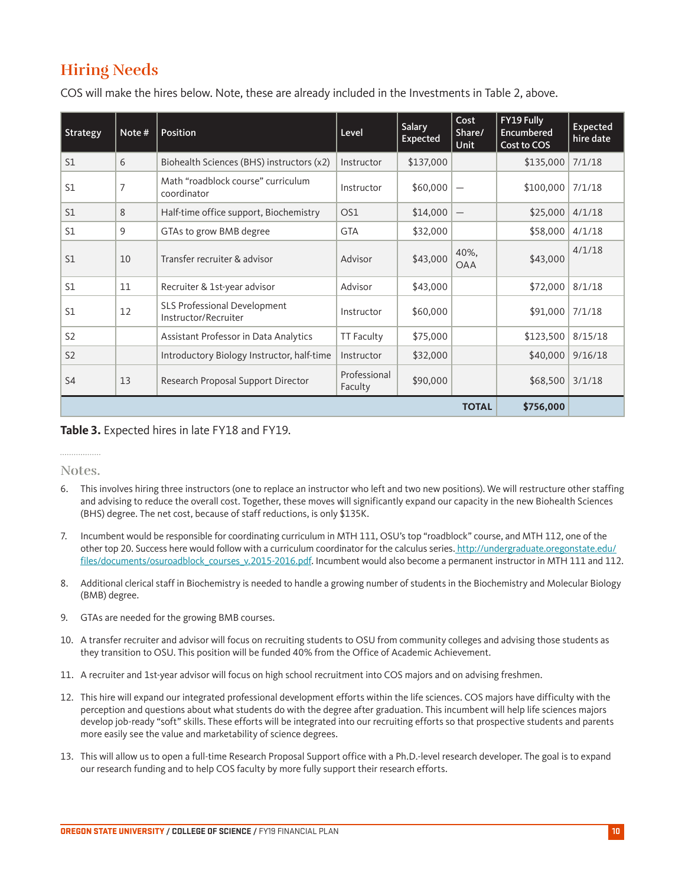## **Hiring Needs**

COS will make the hires below. Note, these are already included in the Investments in Table 2, above.

| Strategy       | Note #         | Position                                             | Level                   | <b>Salary</b><br>Expected | Cost<br>Share/<br>Unit          | FY19 Fully<br>Encumbered<br>Cost to COS | <b>Expected</b><br>hire date |
|----------------|----------------|------------------------------------------------------|-------------------------|---------------------------|---------------------------------|-----------------------------------------|------------------------------|
| S1             | 6              | Biohealth Sciences (BHS) instructors (x2)            | Instructor              | \$137,000                 |                                 | \$135,000                               | 7/1/18                       |
| S1             | $\overline{7}$ | Math "roadblock course" curriculum<br>coordinator    | Instructor              | \$60,000                  |                                 | \$100,000                               | 7/1/18                       |
| S1             | 8              | Half-time office support, Biochemistry               | OS1                     | \$14,000                  | $\overbrace{\phantom{1232211}}$ | \$25,000                                | 4/1/18                       |
| S1             | 9              | GTAs to grow BMB degree                              | <b>GTA</b>              | \$32,000                  |                                 | \$58,000                                | 4/1/18                       |
| S <sub>1</sub> | 10             | Transfer recruiter & advisor                         | Advisor                 | \$43,000                  | 40%,<br><b>OAA</b>              | \$43,000                                | 4/1/18                       |
| S1             | 11             | Recruiter & 1st-year advisor                         | Advisor                 | \$43,000                  |                                 | \$72,000                                | 8/1/18                       |
| S1             | 12             | SLS Professional Development<br>Instructor/Recruiter | Instructor              | \$60,000                  |                                 | \$91,000                                | 7/1/18                       |
| S <sub>2</sub> |                | Assistant Professor in Data Analytics                | <b>TT Faculty</b>       | \$75,000                  |                                 | \$123,500                               | 8/15/18                      |
| S <sub>2</sub> |                | Introductory Biology Instructor, half-time           | Instructor              | \$32,000                  |                                 | \$40,000                                | 9/16/18                      |
| S <sub>4</sub> | 13             | Research Proposal Support Director                   | Professional<br>Faculty | \$90,000                  |                                 | \$68,500                                | 3/1/18                       |
| <b>TOTAL</b>   |                |                                                      |                         |                           | \$756,000                       |                                         |                              |

**Table 3.** Expected hires in late FY18 and FY19.

#### . . . . . . . . . . . . . . . . . **Notes.**

- 6. This involves hiring three instructors (one to replace an instructor who left and two new positions). We will restructure other staffing and advising to reduce the overall cost. Together, these moves will significantly expand our capacity in the new Biohealth Sciences (BHS) degree. The net cost, because of staff reductions, is only \$135K.
- 7. Incumbent would be responsible for coordinating curriculum in MTH 111, OSU's top "roadblock" course, and MTH 112, one of the other top 20. Success here would follow with a curriculum coordinator for the calculus series. http://undergraduate.oregonstate.edu/ files/documents/osuroadblock\_courses\_v.2015-2016.pdf. Incumbent would also become a permanent instructor in MTH 111 and 112.
- 8. Additional clerical staff in Biochemistry is needed to handle a growing number of students in the Biochemistry and Molecular Biology (BMB) degree.
- 9. GTAs are needed for the growing BMB courses.
- 10. A transfer recruiter and advisor will focus on recruiting students to OSU from community colleges and advising those students as they transition to OSU. This position will be funded 40% from the Office of Academic Achievement.
- 11. A recruiter and 1st-year advisor will focus on high school recruitment into COS majors and on advising freshmen.
- 12. This hire will expand our integrated professional development efforts within the life sciences. COS majors have difficulty with the perception and questions about what students do with the degree after graduation. This incumbent will help life sciences majors develop job-ready "soft" skills. These efforts will be integrated into our recruiting efforts so that prospective students and parents more easily see the value and marketability of science degrees.
- 13. This will allow us to open a full-time Research Proposal Support office with a Ph.D.-level research developer. The goal is to expand our research funding and to help COS faculty by more fully support their research efforts.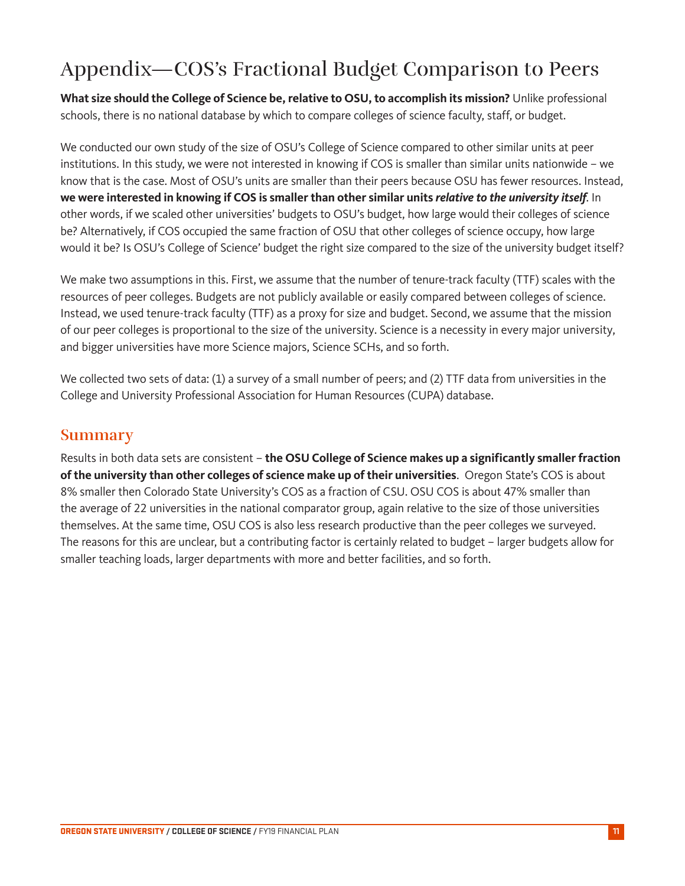# Appendix—COS's Fractional Budget Comparison to Peers

**What size should the College of Science be, relative to OSU, to accomplish its mission?** Unlike professional schools, there is no national database by which to compare colleges of science faculty, staff, or budget.

We conducted our own study of the size of OSU's College of Science compared to other similar units at peer institutions. In this study, we were not interested in knowing if COS is smaller than similar units nationwide – we know that is the case. Most of OSU's units are smaller than their peers because OSU has fewer resources. Instead, **we were interested in knowing if COS is smaller than other similar units** *relative to the university itself*. In other words, if we scaled other universities' budgets to OSU's budget, how large would their colleges of science be? Alternatively, if COS occupied the same fraction of OSU that other colleges of science occupy, how large would it be? Is OSU's College of Science' budget the right size compared to the size of the university budget itself?

We make two assumptions in this. First, we assume that the number of tenure-track faculty (TTF) scales with the resources of peer colleges. Budgets are not publicly available or easily compared between colleges of science. Instead, we used tenure-track faculty (TTF) as a proxy for size and budget. Second, we assume that the mission of our peer colleges is proportional to the size of the university. Science is a necessity in every major university, and bigger universities have more Science majors, Science SCHs, and so forth.

We collected two sets of data: (1) a survey of a small number of peers; and (2) TTF data from universities in the College and University Professional Association for Human Resources (CUPA) database.

### **Summary**

Results in both data sets are consistent – **the OSU College of Science makes up a significantly smaller fraction of the university than other colleges of science make up of their universities**. Oregon State's COS is about 8% smaller then Colorado State University's COS as a fraction of CSU. OSU COS is about 47% smaller than the average of 22 universities in the national comparator group, again relative to the size of those universities themselves. At the same time, OSU COS is also less research productive than the peer colleges we surveyed. The reasons for this are unclear, but a contributing factor is certainly related to budget – larger budgets allow for smaller teaching loads, larger departments with more and better facilities, and so forth.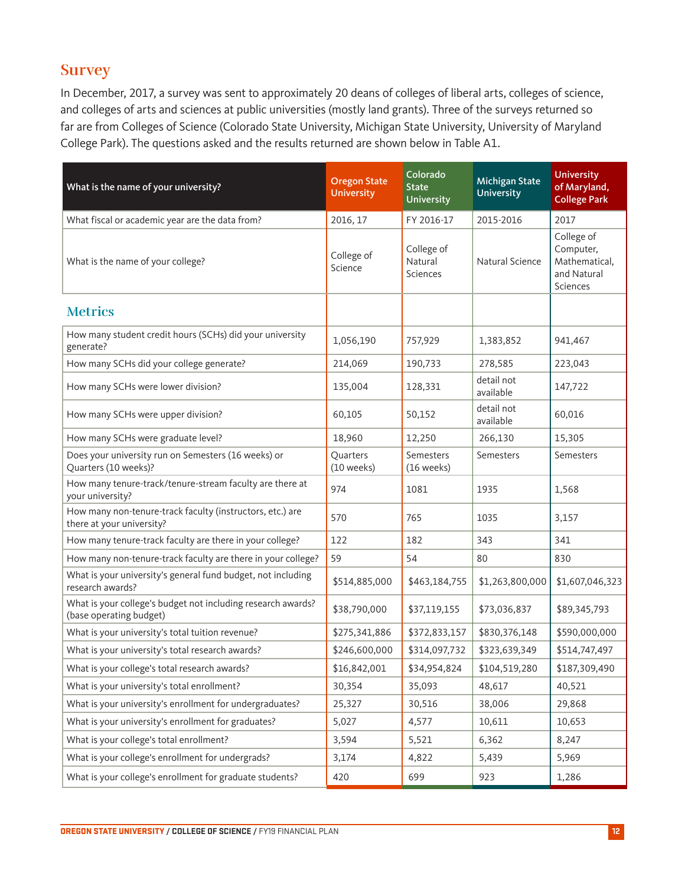### **Survey**

In December, 2017, a survey was sent to approximately 20 deans of colleges of liberal arts, colleges of science, and colleges of arts and sciences at public universities (mostly land grants). Three of the surveys returned so far are from Colleges of Science (Colorado State University, Michigan State University, University of Maryland College Park). The questions asked and the results returned are shown below in Table A1.

| What is the name of your university?                                                    | <b>Oregon State</b><br><b>University</b> | Colorado<br><b>State</b><br>University | <b>Michigan State</b><br><b>University</b> | <b>University</b><br>of Maryland,<br><b>College Park</b>            |
|-----------------------------------------------------------------------------------------|------------------------------------------|----------------------------------------|--------------------------------------------|---------------------------------------------------------------------|
| What fiscal or academic year are the data from?                                         | 2016, 17                                 | FY 2016-17                             | 2015-2016                                  | 2017                                                                |
| What is the name of your college?                                                       | College of<br>Science                    | College of<br>Natural<br>Sciences      | Natural Science                            | College of<br>Computer,<br>Mathematical,<br>and Natural<br>Sciences |
| <b>Metrics</b>                                                                          |                                          |                                        |                                            |                                                                     |
| How many student credit hours (SCHs) did your university<br>generate?                   | 1,056,190                                | 757,929                                | 1,383,852                                  | 941,467                                                             |
| How many SCHs did your college generate?                                                | 214,069                                  | 190,733                                | 278,585                                    | 223,043                                                             |
| How many SCHs were lower division?                                                      | 135,004                                  | 128,331                                | detail not<br>available                    | 147,722                                                             |
| How many SCHs were upper division?                                                      | 60,105                                   | 50,152                                 | detail not<br>available                    | 60,016                                                              |
| How many SCHs were graduate level?                                                      | 18,960                                   | 12,250                                 | 266,130                                    | 15,305                                                              |
| Does your university run on Semesters (16 weeks) or<br>Quarters (10 weeks)?             | Quarters<br>(10 weeks)                   | Semesters<br>(16 weeks)                | Semesters                                  | Semesters                                                           |
| How many tenure-track/tenure-stream faculty are there at<br>your university?            | 974                                      | 1081                                   | 1935                                       | 1,568                                                               |
| How many non-tenure-track faculty (instructors, etc.) are<br>there at your university?  | 570                                      | 765                                    | 1035                                       | 3,157                                                               |
| How many tenure-track faculty are there in your college?                                | 122                                      | 182                                    | 343                                        | 341                                                                 |
| How many non-tenure-track faculty are there in your college?                            | 59                                       | 54                                     | 80                                         | 830                                                                 |
| What is your university's general fund budget, not including<br>research awards?        | \$514,885,000                            | \$463,184,755                          | \$1,263,800,000                            | \$1,607,046,323                                                     |
| What is your college's budget not including research awards?<br>(base operating budget) | \$38,790,000                             | \$37,119,155                           | \$73,036,837                               | \$89,345,793                                                        |
| What is your university's total tuition revenue?                                        | \$275,341,886                            | \$372,833,157                          | \$830,376,148                              | \$590,000,000                                                       |
| What is your university's total research awards?                                        | \$246,600,000                            | \$314,097,732                          | \$323,639,349                              | \$514,747,497                                                       |
| What is your college's total research awards?                                           | \$16,842,001                             | \$34,954,824                           | \$104,519,280                              | \$187,309,490                                                       |
| What is your university's total enrollment?                                             | 30,354                                   | 35,093                                 | 48,617                                     | 40,521                                                              |
| What is your university's enrollment for undergraduates?                                | 25,327                                   | 30,516                                 | 38,006                                     | 29,868                                                              |
| What is your university's enrollment for graduates?                                     | 5,027                                    | 4,577                                  | 10,611                                     | 10,653                                                              |
| What is your college's total enrollment?                                                | 3,594                                    | 5,521                                  | 6,362                                      | 8,247                                                               |
| What is your college's enrollment for undergrads?                                       | 3,174                                    | 4,822                                  | 5,439                                      | 5,969                                                               |
| What is your college's enrollment for graduate students?                                | 420                                      | 699                                    | 923                                        | 1,286                                                               |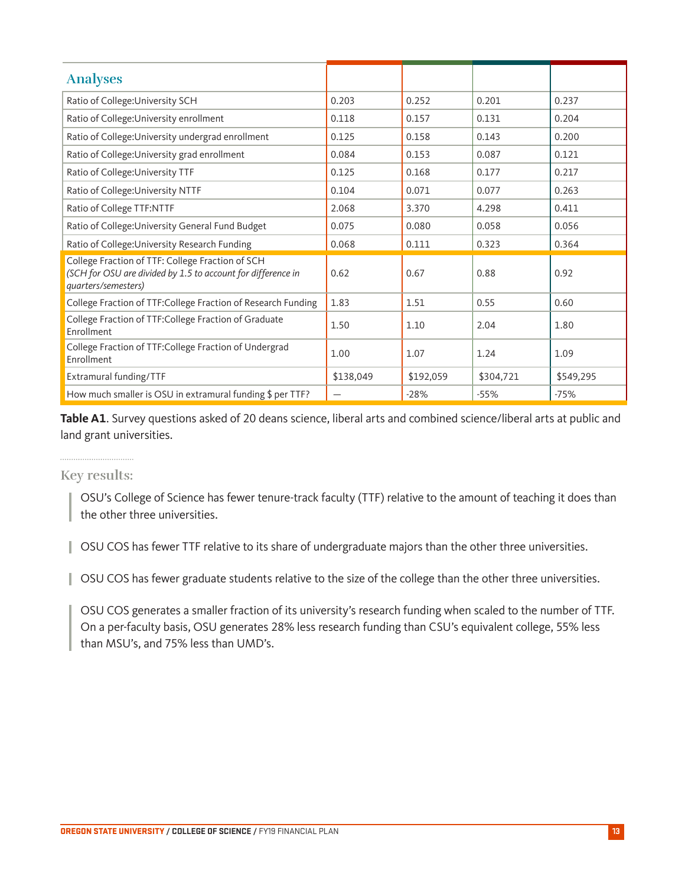| <b>Analyses</b>                                                                                                                         |           |           |           |           |
|-----------------------------------------------------------------------------------------------------------------------------------------|-----------|-----------|-----------|-----------|
| Ratio of College: University SCH                                                                                                        | 0.203     | 0.252     | 0.201     | 0.237     |
| Ratio of College: University enrollment                                                                                                 | 0.118     | 0.157     | 0.131     | 0.204     |
| Ratio of College: University undergrad enrollment                                                                                       | 0.125     | 0.158     | 0.143     | 0.200     |
| Ratio of College: University grad enrollment                                                                                            | 0.084     | 0.153     | 0.087     | 0.121     |
| Ratio of College: University TTF                                                                                                        | 0.125     | 0.168     | 0.177     | 0.217     |
| Ratio of College: University NTTF                                                                                                       | 0.104     | 0.071     | 0.077     | 0.263     |
| Ratio of College TTF:NTTF                                                                                                               | 2.068     | 3.370     | 4.298     | 0.411     |
| Ratio of College: University General Fund Budget                                                                                        | 0.075     | 0.080     | 0.058     | 0.056     |
| Ratio of College: University Research Funding                                                                                           | 0.068     | 0.111     | 0.323     | 0.364     |
| College Fraction of TTF: College Fraction of SCH<br>(SCH for OSU are divided by 1.5 to account for difference in<br>quarters/semesters) | 0.62      | 0.67      | 0.88      | 0.92      |
| College Fraction of TTF: College Fraction of Research Funding                                                                           | 1.83      | 1.51      | 0.55      | 0.60      |
| College Fraction of TTF: College Fraction of Graduate<br>Enrollment                                                                     | 1.50      | 1.10      | 2.04      | 1.80      |
| College Fraction of TTF: College Fraction of Undergrad<br>Enrollment                                                                    | 1.00      | 1.07      | 1.24      | 1.09      |
| Extramural funding/TTF                                                                                                                  | \$138,049 | \$192,059 | \$304,721 | \$549,295 |
| How much smaller is OSU in extramural funding \$ per TTF?                                                                               |           | $-28%$    | $-55%$    | $-75%$    |

**Table A1**. Survey questions asked of 20 deans science, liberal arts and combined science/liberal arts at public and land grant universities.

#### **Key results:**

OSU's College of Science has fewer tenure-track faculty (TTF) relative to the amount of teaching it does than the other three universities.

OSU COS has fewer TTF relative to its share of undergraduate majors than the other three universities.

OSU COS has fewer graduate students relative to the size of the college than the other three universities.

OSU COS generates a smaller fraction of its university's research funding when scaled to the number of TTF. On a per-faculty basis, OSU generates 28% less research funding than CSU's equivalent college, 55% less than MSU's, and 75% less than UMD's.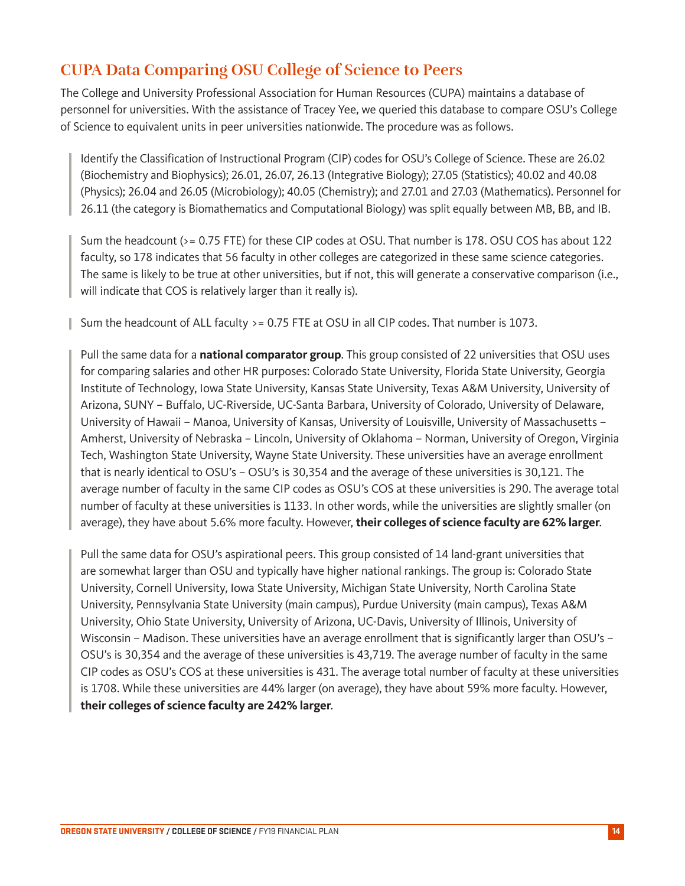## **CUPA Data Comparing OSU College of Science to Peers**

The College and University Professional Association for Human Resources (CUPA) maintains a database of personnel for universities. With the assistance of Tracey Yee, we queried this database to compare OSU's College of Science to equivalent units in peer universities nationwide. The procedure was as follows.

Identify the Classification of Instructional Program (CIP) codes for OSU's College of Science. These are 26.02 (Biochemistry and Biophysics); 26.01, 26.07, 26.13 (Integrative Biology); 27.05 (Statistics); 40.02 and 40.08 (Physics); 26.04 and 26.05 (Microbiology); 40.05 (Chemistry); and 27.01 and 27.03 (Mathematics). Personnel for 26.11 (the category is Biomathematics and Computational Biology) was split equally between MB, BB, and IB.

Sum the headcount (>= 0.75 FTE) for these CIP codes at OSU. That number is 178. OSU COS has about 122 faculty, so 178 indicates that 56 faculty in other colleges are categorized in these same science categories. The same is likely to be true at other universities, but if not, this will generate a conservative comparison (i.e., will indicate that COS is relatively larger than it really is).

Sum the headcount of ALL faculty >= 0.75 FTE at OSU in all CIP codes. That number is 1073.

Pull the same data for a **national comparator group**. This group consisted of 22 universities that OSU uses for comparing salaries and other HR purposes: Colorado State University, Florida State University, Georgia Institute of Technology, Iowa State University, Kansas State University, Texas A&M University, University of Arizona, SUNY – Buffalo, UC-Riverside, UC-Santa Barbara, University of Colorado, University of Delaware, University of Hawaii – Manoa, University of Kansas, University of Louisville, University of Massachusetts – Amherst, University of Nebraska – Lincoln, University of Oklahoma – Norman, University of Oregon, Virginia Tech, Washington State University, Wayne State University. These universities have an average enrollment that is nearly identical to OSU's – OSU's is 30,354 and the average of these universities is 30,121. The average number of faculty in the same CIP codes as OSU's COS at these universities is 290. The average total number of faculty at these universities is 1133. In other words, while the universities are slightly smaller (on average), they have about 5.6% more faculty. However, **their colleges of science faculty are 62% larger**.

Pull the same data for OSU's aspirational peers. This group consisted of 14 land-grant universities that are somewhat larger than OSU and typically have higher national rankings. The group is: Colorado State University, Cornell University, Iowa State University, Michigan State University, North Carolina State University, Pennsylvania State University (main campus), Purdue University (main campus), Texas A&M University, Ohio State University, University of Arizona, UC-Davis, University of Illinois, University of Wisconsin – Madison. These universities have an average enrollment that is significantly larger than OSU's – OSU's is 30,354 and the average of these universities is 43,719. The average number of faculty in the same CIP codes as OSU's COS at these universities is 431. The average total number of faculty at these universities is 1708. While these universities are 44% larger (on average), they have about 59% more faculty. However, **their colleges of science faculty are 242% larger**.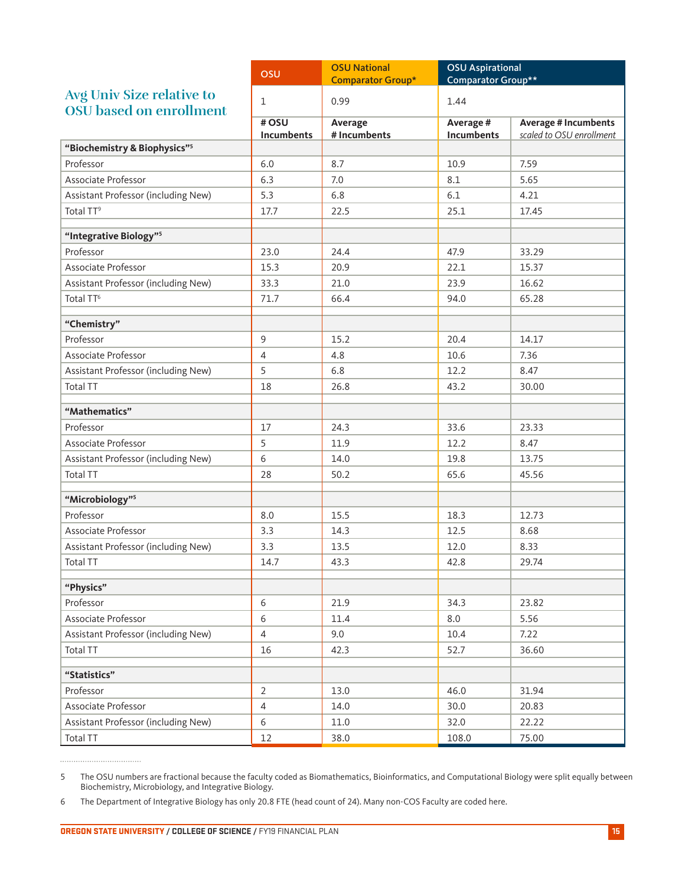|                                                             | OSU                | <b>OSU National</b>      | <b>OSU Aspirational</b>        |                                                         |
|-------------------------------------------------------------|--------------------|--------------------------|--------------------------------|---------------------------------------------------------|
|                                                             |                    | <b>Comparator Group*</b> | Comparator Group**             |                                                         |
| Avg Univ Size relative to<br><b>OSU</b> based on enrollment | $\mathbf{1}$       | 0.99                     | 1.44                           |                                                         |
|                                                             | #OSU<br>Incumbents | Average<br># Incumbents  | Average #<br><b>Incumbents</b> | <b>Average # Incumbents</b><br>scaled to OSU enrollment |
| "Biochemistry & Biophysics" <sup>5</sup>                    |                    |                          |                                |                                                         |
| Professor                                                   | 6.0                | 8.7                      | 10.9                           | 7.59                                                    |
| Associate Professor                                         | 6.3                | 7.0                      | 8.1                            | 5.65                                                    |
| Assistant Professor (including New)                         | 5.3                | 6.8                      | 6.1                            | 4.21                                                    |
| Total TT <sup>9</sup>                                       | 17.7               | 22.5                     | 25.1                           | 17.45                                                   |
| "Integrative Biology"5                                      |                    |                          |                                |                                                         |
| Professor                                                   | 23.0               | 24.4                     | 47.9                           | 33.29                                                   |
| Associate Professor                                         | 15.3               | 20.9                     | 22.1                           | 15.37                                                   |
| Assistant Professor (including New)                         | 33.3               | 21.0                     | 23.9                           | 16.62                                                   |
| Total TT <sup>6</sup>                                       | 71.7               | 66.4                     | 94.0                           | 65.28                                                   |
| "Chemistry"                                                 |                    |                          |                                |                                                         |
| Professor                                                   | 9                  | 15.2                     | 20.4                           | 14.17                                                   |
| Associate Professor                                         | 4                  | 4.8                      | 10.6                           | 7.36                                                    |
| Assistant Professor (including New)                         | 5                  | 6.8                      | 12.2                           | 8.47                                                    |
| <b>Total TT</b>                                             | 18                 | 26.8                     | 43.2                           | 30.00                                                   |
| "Mathematics"                                               |                    |                          |                                |                                                         |
| Professor                                                   | 17                 | 24.3                     | 33.6                           | 23.33                                                   |
| Associate Professor                                         | 5                  | 11.9                     | 12.2                           | 8.47                                                    |
| Assistant Professor (including New)                         | 6                  | 14.0                     | 19.8                           | 13.75                                                   |
| <b>Total TT</b>                                             | 28                 | 50.2                     | 65.6                           | 45.56                                                   |
| "Microbiology"5                                             |                    |                          |                                |                                                         |
| Professor                                                   | 8.0                | 15.5                     | 18.3                           | 12.73                                                   |
| Associate Professor                                         | 3.3                | 14.3                     | 12.5                           | 8.68                                                    |
| Assistant Professor (including New)                         | 3.3                | 13.5                     | 12.0                           | 8.33                                                    |
| <b>Total TT</b>                                             | 14.7               | 43.3                     | 42.8                           | 29.74                                                   |
| "Physics"                                                   |                    |                          |                                |                                                         |
| Professor                                                   | 6                  | 21.9                     | 34.3                           | 23.82                                                   |
| Associate Professor                                         | 6                  | 11.4                     | 8.0                            | 5.56                                                    |
| Assistant Professor (including New)                         | 4                  | 9.0                      | 10.4                           | 7.22                                                    |
| Total TT                                                    | 16                 | 42.3                     | 52.7                           | 36.60                                                   |
| "Statistics"                                                |                    |                          |                                |                                                         |
| Professor                                                   | $\overline{2}$     | 13.0                     | 46.0                           | 31.94                                                   |
| Associate Professor                                         | $\overline{4}$     | 14.0                     | 30.0                           | 20.83                                                   |
| Assistant Professor (including New)                         | 6                  | $11.0\,$                 | 32.0                           | 22.22                                                   |
| Total TT                                                    | 12                 | 38.0                     | 108.0                          | 75.00                                                   |

<sup>5</sup> The OSU numbers are fractional because the faculty coded as Biomathematics, Bioinformatics, and Computational Biology were split equally between Biochemistry, Microbiology, and Integrative Biology.

<sup>6</sup> The Department of Integrative Biology has only 20.8 FTE (head count of 24). Many non-COS Faculty are coded here.